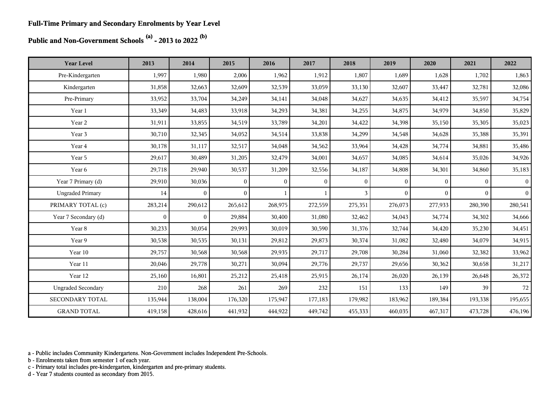**Public and Non-Government Schools (a) - 2013 to 2022 (b)**

| <b>Year Level</b>         | 2013         | 2014           | 2015     | 2016         | 2017         | 2018     | 2019     | 2020         | 2021     | 2022            |
|---------------------------|--------------|----------------|----------|--------------|--------------|----------|----------|--------------|----------|-----------------|
| Pre-Kindergarten          | 1,997        | 1,980          | 2,006    | 1,962        | 1,912        | 1,807    | 1,689    | 1,628        | 1,702    | 1,863           |
| Kindergarten              | 31,858       | 32,663         | 32,609   | 32,539       | 33,059       | 33,130   | 32,607   | 33,447       | 32,781   | 32,086          |
| Pre-Primary               | 33,952       | 33,704         | 34,249   | 34,141       | 34,048       | 34,627   | 34,635   | 34,412       | 35,597   | 34,754          |
| Year 1                    | 33,349       | 34,483         | 33,918   | 34,293       | 34,381       | 34,255   | 34,875   | 34,979       | 34,850   | 35,829          |
| Year 2                    | 31,911       | 33,855         | 34,519   | 33,789       | 34,201       | 34,422   | 34,398   | 35,150       | 35,305   | 35,023          |
| Year 3                    | 30,710       | 32,345         | 34,052   | 34,514       | 33,838       | 34,299   | 34,548   | 34,628       | 35,388   | 35,391          |
| Year 4                    | 30,178       | 31,117         | 32,517   | 34,048       | 34,562       | 33,964   | 34,428   | 34,774       | 34,881   | 35,486          |
| Year 5                    | 29,617       | 30,489         | 31,205   | 32,479       | 34,001       | 34,657   | 34,085   | 34,614       | 35,026   | 34,926          |
| Year 6                    | 29,718       | 29,940         | 30,537   | 31,209       | 32,556       | 34,187   | 34,808   | 34,301       | 34,860   | 35,183          |
| Year 7 Primary (d)        | 29,910       | 30,036         | $\Omega$ | $\mathbf{0}$ | $\mathbf{0}$ | $\theta$ | $\Omega$ | $\mathbf{0}$ | $\Omega$ | $\vert 0 \vert$ |
| <b>Ungraded Primary</b>   | 14           | $\overline{0}$ | $\theta$ |              | $\mathbf{1}$ | 3        | $\theta$ | $\Omega$     | $\theta$ | $\overline{0}$  |
| PRIMARY TOTAL (c)         | 283,214      | 290,612        | 265,612  | 268,975      | 272,559      | 275,351  | 276,073  | 277,933      | 280,390  | 280,541         |
| Year 7 Secondary (d)      | $\mathbf{0}$ | $\overline{0}$ | 29,884   | 30,400       | 31,080       | 32,462   | 34,043   | 34,774       | 34,302   | 34,666          |
| Year 8                    | 30,233       | 30,054         | 29,993   | 30,019       | 30,590       | 31,376   | 32,744   | 34,420       | 35,230   | 34,451          |
| Year 9                    | 30,538       | 30,535         | 30,131   | 29,812       | 29,873       | 30,374   | 31,082   | 32,480       | 34,079   | 34,915          |
| Year 10                   | 29,757       | 30,568         | 30,568   | 29,935       | 29,717       | 29,708   | 30,284   | 31,060       | 32,382   | 33,962          |
| Year 11                   | 20,046       | 29,778         | 30,271   | 30,094       | 29,776       | 29,737   | 29,656   | 30,362       | 30,658   | 31,217          |
| Year 12                   | 25,160       | 16,801         | 25,212   | 25,418       | 25,915       | 26,174   | 26,020   | 26,139       | 26,648   | 26,372          |
| <b>Ungraded Secondary</b> | 210          | 268            | 261      | 269          | 232          | 151      | 133      | 149          | 39       | 72              |
| SECONDARY TOTAL           | 135,944      | 138,004        | 176,320  | 175,947      | 177,183      | 179,982  | 183,962  | 189,384      | 193,338  | 195,655         |
| <b>GRAND TOTAL</b>        | 419,158      | 428,616        | 441,932  | 444,922      | 449,742      | 455,333  | 460,035  | 467,317      | 473,728  | 476,196         |

a - Public includes Community Kindergartens. Non-Government includes Independent Pre-Schools.

b - Enrolments taken from semester 1 of each year.

c - Primary total includes pre-kindergarten, kindergarten and pre-primary students.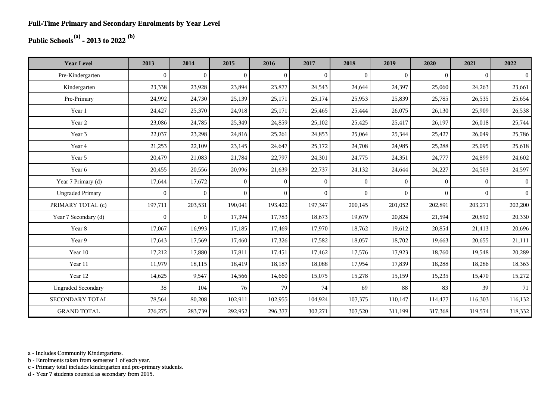## **Public Schools(a) - 2013 to 2022 (b)**

| <b>Year Level</b>         | 2013         | 2014           | 2015           | 2016           | 2017     | 2018     | 2019         | 2020     | 2021     | 2022           |
|---------------------------|--------------|----------------|----------------|----------------|----------|----------|--------------|----------|----------|----------------|
| Pre-Kindergarten          | $\theta$     | $\overline{0}$ | $\overline{0}$ | $\Omega$       | $\Omega$ | $\theta$ | $\mathbf{0}$ | $\Omega$ | $\theta$ | $\overline{0}$ |
| Kindergarten              | 23,338       | 23,928         | 23,894         | 23,877         | 24,543   | 24,644   | 24,397       | 25,060   | 24,263   | 23,661         |
| Pre-Primary               | 24,992       | 24,730         | 25,139         | 25,171         | 25,174   | 25,953   | 25,839       | 25,785   | 26,535   | 25,654         |
| Year 1                    | 24,427       | 25,370         | 24,918         | 25,171         | 25,465   | 25,444   | 26,075       | 26,130   | 25,909   | 26,538         |
| Year 2                    | 23,086       | 24,785         | 25,349         | 24,859         | 25,102   | 25,425   | 25,417       | 26,197   | 26,018   | 25,744         |
| Year 3                    | 22,037       | 23,298         | 24,816         | 25,261         | 24,853   | 25,064   | 25,344       | 25,427   | 26,049   | 25,786         |
| Year 4                    | 21,253       | 22,109         | 23,145         | 24,647         | 25,172   | 24,708   | 24,985       | 25,288   | 25,095   | 25,618         |
| Year 5                    | 20,479       | 21,083         | 21,784         | 22,797         | 24,301   | 24,775   | 24,351       | 24,777   | 24,899   | 24,602         |
| Year 6                    | 20,455       | 20,556         | 20,996         | 21,639         | 22,737   | 24,132   | 24,644       | 24,227   | 24,503   | 24,597         |
| Year 7 Primary (d)        | 17,644       | 17,672         | $\overline{0}$ | $\theta$       | $\theta$ | $\theta$ | $\theta$     | $\Omega$ | $\theta$ | $\overline{0}$ |
| <b>Ungraded Primary</b>   | $\mathbf{0}$ | $\overline{0}$ | $\overline{0}$ | $\overline{0}$ | $\theta$ | $\theta$ | $\theta$     | $\Omega$ | $\theta$ | $\vert$        |
| PRIMARY TOTAL (c)         | 197,711      | 203,531        | 190,041        | 193,422        | 197,347  | 200,145  | 201,052      | 202,891  | 203,271  | 202,200        |
| Year 7 Secondary (d)      | $\mathbf{0}$ | $\overline{0}$ | 17,394         | 17,783         | 18,673   | 19,679   | 20,824       | 21,594   | 20,892   | 20,330         |
| Year 8                    | 17,067       | 16,993         | 17,185         | 17,469         | 17,970   | 18,762   | 19,612       | 20,854   | 21,413   | 20,696         |
| Year 9                    | 17,643       | 17,569         | 17,460         | 17,326         | 17,582   | 18,057   | 18,702       | 19,663   | 20,655   | 21,111         |
| Year 10                   | 17,212       | 17,880         | 17,811         | 17,451         | 17,462   | 17,576   | 17,923       | 18,760   | 19,548   | 20,289         |
| Year 11                   | 11,979       | 18,115         | 18,419         | 18,187         | 18,088   | 17,954   | 17,839       | 18,288   | 18,286   | 18,363         |
| Year 12                   | 14,625       | 9,547          | 14,566         | 14,660         | 15,075   | 15,278   | 15,159       | 15,235   | 15,470   | 15,272         |
| <b>Ungraded Secondary</b> | 38           | 104            | 76             | 79             | 74       | 69       | 88           | 83       | 39       | 71             |
| <b>SECONDARY TOTAL</b>    | 78,564       | 80,208         | 102,911        | 102,955        | 104,924  | 107,375  | 110,147      | 114,477  | 116,303  | 116, 132       |
| <b>GRAND TOTAL</b>        | 276,275      | 283,739        | 292,952        | 296,377        | 302,271  | 307,520  | 311,199      | 317,368  | 319,574  | 318,332        |

a - Includes Community Kindergartens.

b - Enrolments taken from semester 1 of each year.

c - Primary total includes kindergarten and pre-primary students.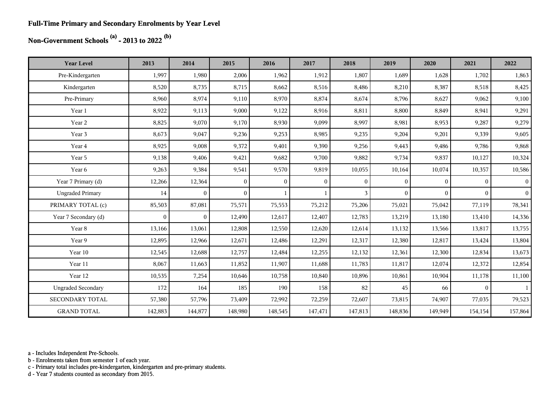#### **Full-Time Primary and Secondary Enrolments by Year Level**

## **Non-Government Schools (a) - 2013 to 2022 (b)**

| <b>Year Level</b>         | 2013         | 2014           | 2015           | 2016     | 2017         | 2018         | 2019     | 2020     | 2021           | 2022           |
|---------------------------|--------------|----------------|----------------|----------|--------------|--------------|----------|----------|----------------|----------------|
| Pre-Kindergarten          | 1,997        | 1,980          | 2,006          | 1,962    | 1,912        | 1,807        | 1,689    | 1,628    | 1,702          | 1,863          |
| Kindergarten              | 8,520        | 8,735          | 8,715          | 8,662    | 8,516        | 8,486        | 8,210    | 8,387    | 8,518          | 8,425          |
| Pre-Primary               | 8,960        | 8,974          | 9,110          | 8,970    | 8,874        | 8,674        | 8,796    | 8,627    | 9,062          | 9,100          |
| Year 1                    | 8,922        | 9,113          | 9,000          | 9,122    | 8,916        | 8,811        | 8,800    | 8,849    | 8,941          | 9,291          |
| Year 2                    | 8,825        | 9,070          | 9,170          | 8,930    | 9,099        | 8,997        | 8,981    | 8,953    | 9,287          | 9,279          |
| Year 3                    | 8,673        | 9,047          | 9,236          | 9,253    | 8,985        | 9,235        | 9,204    | 9,201    | 9,339          | 9,605          |
| Year 4                    | 8,925        | 9,008          | 9,372          | 9,401    | 9,390        | 9,256        | 9,443    | 9,486    | 9,786          | 9,868          |
| Year 5                    | 9,138        | 9,406          | 9,421          | 9,682    | 9,700        | 9,882        | 9,734    | 9,837    | 10,127         | 10,324         |
| Year 6                    | 9,263        | 9,384          | 9,541          | 9,570    | 9,819        | 10,055       | 10,164   | 10,074   | 10,357         | 10,586         |
| Year 7 Primary (d)        | 12,266       | 12,364         | $\overline{0}$ | $\theta$ | $\mathbf{0}$ | $\mathbf{0}$ | $\theta$ | $\theta$ | $\overline{0}$ | 0 <sup>1</sup> |
| <b>Ungraded Primary</b>   | 14           | $\overline{0}$ | $\overline{0}$ |          |              | 3            | $\theta$ | $\Omega$ | $\overline{0}$ | 0 <sup>1</sup> |
| PRIMARY TOTAL (c)         | 85,503       | 87,081         | 75,571         | 75,553   | 75,212       | 75,206       | 75,021   | 75,042   | 77,119         | 78,341         |
| Year 7 Secondary (d)      | $\mathbf{0}$ | $\overline{0}$ | 12,490         | 12,617   | 12,407       | 12,783       | 13,219   | 13,180   | 13,410         | 14,336         |
| Year 8                    | 13,166       | 13,061         | 12,808         | 12,550   | 12,620       | 12,614       | 13,132   | 13,566   | 13,817         | 13,755         |
| Year 9                    | 12,895       | 12,966         | 12,671         | 12,486   | 12,291       | 12,317       | 12,380   | 12,817   | 13,424         | 13,804         |
| Year 10                   | 12,545       | 12,688         | 12,757         | 12,484   | 12,255       | 12,132       | 12,361   | 12,300   | 12,834         | 13,673         |
| Year 11                   | 8,067        | 11,663         | 11,852         | 11,907   | 11,688       | 11,783       | 11,817   | 12,074   | 12,372         | 12,854         |
| Year 12                   | 10,535       | 7,254          | 10,646         | 10,758   | 10,840       | 10,896       | 10,861   | 10,904   | 11,178         | 11,100         |
| <b>Ungraded Secondary</b> | 172          | 164            | 185            | 190      | 158          | 82           | 45       | 66       | $\overline{0}$ | $\mathbf{1}$   |
| <b>SECONDARY TOTAL</b>    | 57,380       | 57,796         | 73,409         | 72,992   | 72,259       | 72,607       | 73,815   | 74,907   | 77,035         | 79,523         |
| <b>GRAND TOTAL</b>        | 142,883      | 144,877        | 148,980        | 148,545  | 147,471      | 147,813      | 148,836  | 149,949  | 154,154        | 157,864        |

a - Includes Independent Pre-Schools.

b - Enrolments taken from semester 1 of each year.

c - Primary total includes pre-kindergarten, kindergarten and pre-primary students.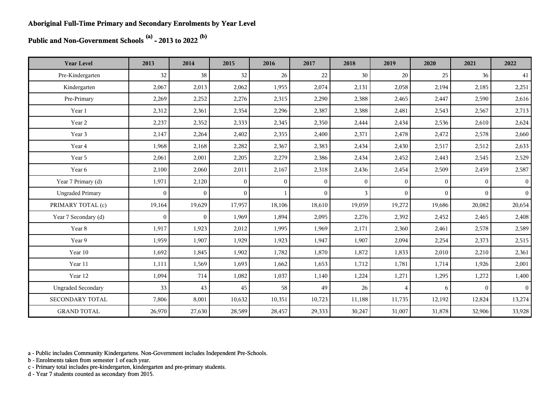**Public and Non-Government Schools (a) - 2013 to 2022 (b)**

| <b>Year Level</b>         | 2013         | 2014           | 2015           | 2016           | 2017           | 2018           | 2019             | 2020         | 2021         | 2022            |
|---------------------------|--------------|----------------|----------------|----------------|----------------|----------------|------------------|--------------|--------------|-----------------|
| Pre-Kindergarten          | 32           | 38             | 32             | 26             | 22             | 30             | 20               | 25           | 36           | 41              |
| Kindergarten              | 2,067        | 2,013          | 2,062          | 1,955          | 2,074          | 2,131          | 2,058            | 2,194        | 2,185        | 2,251           |
| Pre-Primary               | 2,269        | 2,252          | 2,276          | 2,315          | 2,290          | 2,388          | 2,465            | 2,447        | 2,590        | 2,616           |
| Year 1                    | 2,312        | 2,361          | 2,354          | 2,296          | 2,387          | 2,388          | 2,481            | 2,543        | 2,567        | 2,713           |
| Year 2                    | 2,237        | 2,352          | 2,333          | 2,345          | 2,350          | 2,444          | 2,434            | 2,536        | 2,610        | 2,624           |
| Year 3                    | 2,147        | 2,264          | 2,402          | 2,355          | 2,400          | 2,371          | 2,478            | 2,472        | 2,578        | 2,660           |
| Year 4                    | 1,968        | 2,168          | 2,282          | 2,367          | 2,383          | 2,434          | 2,430            | 2,517        | 2,512        | 2,633           |
| Year 5                    | 2,061        | 2,001          | 2,205          | 2,279          | 2,386          | 2,434          | 2,452            | 2,443        | 2,545        | 2,529           |
| Year 6                    | 2,100        | 2,060          | 2,011          | 2,167          | 2,318          | 2,436          | 2,454            | 2,509        | 2,459        | 2,587           |
| Year 7 Primary (d)        | 1,971        | 2,120          | $\mathbf{0}$   | $\overline{0}$ | $\bf{0}$       | $\overline{0}$ | $\boldsymbol{0}$ | $\mathbf{0}$ | $\mathbf{0}$ | $\bf{0}$        |
| <b>Ungraded Primary</b>   | $\mathbf{0}$ | $\mathbf{0}$   | $\overline{0}$ | -1             | $\overline{0}$ | $\overline{3}$ | $\mathbf{0}$     | $\mathbf{0}$ | $\mathbf{0}$ | $\vert 0 \vert$ |
| PRIMARY TOTAL (c)         | 19,164       | 19,629         | 17,957         | 18,106         | 18,610         | 19,059         | 19,272           | 19,686       | 20,082       | 20,654          |
| Year 7 Secondary (d)      | $\mathbf{0}$ | $\overline{0}$ | 1,969          | 1,894          | 2,095          | 2,276          | 2,392            | 2,452        | 2,465        | 2,408           |
| Year 8                    | 1,917        | 1,923          | 2,012          | 1,995          | 1,969          | 2,171          | 2,360            | 2,461        | 2,578        | 2,589           |
| Year 9                    | 1,959        | 1,907          | 1,929          | 1,923          | 1,947          | 1,907          | 2,094            | 2,254        | 2,373        | 2,515           |
| Year 10                   | 1,692        | 1,845          | 1,902          | 1,782          | 1,870          | 1,872          | 1,833            | 2,010        | 2,210        | 2,361           |
| Year 11                   | 1,111        | 1,569          | 1,693          | 1,662          | 1,653          | 1,712          | 1,781            | 1,714        | 1,926        | 2,001           |
| Year 12                   | 1,094        | 714            | 1,082          | 1,037          | 1,140          | 1,224          | 1,271            | 1,295        | 1,272        | 1,400           |
| <b>Ungraded Secondary</b> | 33           | 43             | 45             | 58             | 49             | 26             | $\overline{4}$   | 6            | $\mathbf{0}$ | 0 <sup>1</sup>  |
| SECONDARY TOTAL           | 7,806        | 8,001          | 10,632         | 10,351         | 10,723         | 11,188         | 11,735           | 12,192       | 12,824       | 13,274          |
| <b>GRAND TOTAL</b>        | 26,970       | 27,630         | 28,589         | 28,457         | 29,333         | 30,247         | 31,007           | 31,878       | 32,906       | 33,928          |

a - Public includes Community Kindergartens. Non-Government includes Independent Pre-Schools.

b - Enrolments taken from semester 1 of each year.

c - Primary total includes pre-kindergarten, kindergarten and pre-primary students.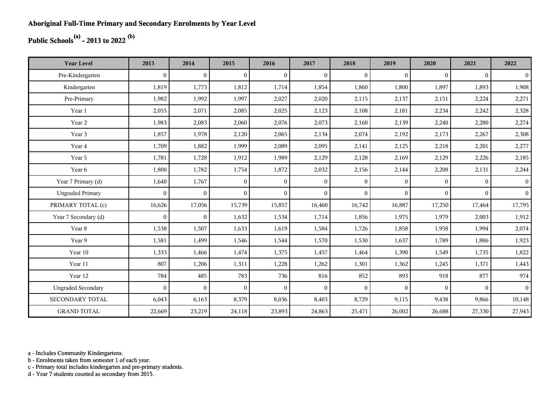## **Public Schools(a) - 2013 to 2022 (b)**

| <b>Year Level</b>         | 2013         | 2014           | 2015           | 2016           | 2017           | 2018         | 2019         | 2020     | 2021     | 2022           |
|---------------------------|--------------|----------------|----------------|----------------|----------------|--------------|--------------|----------|----------|----------------|
| Pre-Kindergarten          | $\theta$     | $\overline{0}$ | $\overline{0}$ | $\Omega$       | $\mathbf{0}$   | $\theta$     | $\mathbf{0}$ | $\Omega$ | $\theta$ | $\overline{0}$ |
| Kindergarten              | 1,819        | 1,773          | 1,812          | 1,714          | 1,854          | 1,860        | 1,800        | 1,897    | 1,893    | 1,908          |
| Pre-Primary               | 1,982        | 1,992          | 1,997          | 2,027          | 2,020          | 2,115        | 2,137        | 2,151    | 2,224    | 2,271          |
| Year 1                    | 2,055        | 2,071          | 2,085          | 2,025          | 2,123          | 2,108        | 2,181        | 2,234    | 2,242    | 2,328          |
| Year 2                    | 1,983        | 2,083          | 2,060          | 2,076          | 2,073          | 2,160        | 2,139        | 2,240    | 2,280    | 2,274          |
| Year 3                    | 1,857        | 1,978          | 2,120          | 2,065          | 2,134          | 2,074        | 2,192        | 2,173    | 2,267    | 2,308          |
| Year 4                    | 1,709        | 1,882          | 1,999          | 2,089          | 2,095          | 2,141        | 2,125        | 2,218    | 2,201    | 2,277          |
| Year 5                    | 1,781        | 1,728          | 1,912          | 1,989          | 2,129          | 2,128        | 2,169        | 2,129    | 2,226    | 2,185          |
| Year 6                    | 1,800        | 1,782          | 1,754          | 1,872          | 2,032          | 2,156        | 2,144        | 2,208    | 2,131    | 2,244          |
| Year 7 Primary (d)        | 1,640        | 1,767          | $\overline{0}$ | $\overline{0}$ | $\overline{0}$ | $\mathbf{0}$ | $\theta$     | $\Omega$ | $\theta$ | 0 <sup>1</sup> |
| <b>Ungraded Primary</b>   | $\mathbf{0}$ | $\overline{0}$ | $\overline{0}$ | $\overline{0}$ | $\theta$       | $\theta$     | $\mathbf{0}$ | $\Omega$ | $\Omega$ | 0 <sup>1</sup> |
| PRIMARY TOTAL (c)         | 16,626       | 17,056         | 15,739         | 15,857         | 16,460         | 16,742       | 16,887       | 17,250   | 17,464   | 17,795         |
| Year 7 Secondary (d)      | $\mathbf{0}$ | $\mathbf{0}$   | 1,632          | 1,534          | 1,714          | 1,856        | 1,975        | 1,979    | 2,003    | 1,912          |
| Year 8                    | 1,538        | 1,507          | 1,633          | 1,619          | 1,584          | 1,726        | 1,858        | 1,958    | 1,994    | 2,074          |
| Year 9                    | 1,581        | 1,499          | 1,546          | 1,544          | 1,570          | 1,530        | 1,637        | 1,789    | 1,886    | 1,923          |
| Year 10                   | 1,333        | 1,466          | 1,474          | 1,375          | 1,457          | 1,464        | 1,390        | 1,549    | 1,735    | 1,822          |
| Year 11                   | 807          | 1,206          | 1,311          | 1,228          | 1,262          | 1,301        | 1,362        | 1,245    | 1,371    | 1,443          |
| Year 12                   | 784          | 485            | 783            | 736            | 816            | 852          | 893          | 918      | 877      | 974            |
| <b>Ungraded Secondary</b> | $\theta$     | $\overline{0}$ | $\overline{0}$ | $\Omega$       | $\mathbf{0}$   | $\theta$     | $\mathbf{0}$ | $\Omega$ | $\theta$ | 0 <sup>1</sup> |
| <b>SECONDARY TOTAL</b>    | 6,043        | 6,163          | 8,379          | 8,036          | 8,403          | 8,729        | 9,115        | 9,438    | 9,866    | 10,148         |
| <b>GRAND TOTAL</b>        | 22,669       | 23,219         | 24,118         | 23,893         | 24,863         | 25,471       | 26,002       | 26,688   | 27,330   | 27,943         |

a - Includes Community Kindergartens.

b - Enrolments taken from semester 1 of each year.

c - Primary total includes kindergarten and pre-primary students.